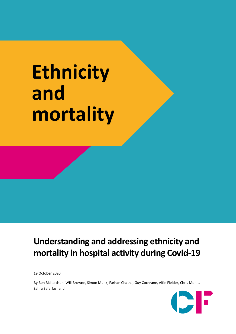# **Ethnicity and mortality**

## **Understanding and addressing ethnicity and mortality in hospital activity during Covid-19**

19 October 2020

By Ben Richardson, Will Browne, Simon Munk, Farhan Chatha, Guy Cochrane, Alfie Fielder, Chris Monit, Zahra Safarfashandi

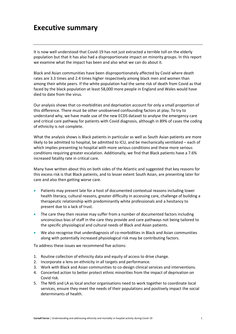## **Executive summary**

It is now well understood that Covid-19 has not just extracted a terrible toll on the elderly population but that it has also had a disproportionate impact on minority groups. In this report we examine what the impact has been and also what we can do about it.

Black and Asian communities have been disproportionately affected by Covid where death rates are 3.3 times and 2.4 times higher respectively among black men and women than among their white peers. If the white population had the same risk of death from Covid as that faced by the black population at least 58,000 more people in England and Wales would have died to date from the virus.

Our analysis shows that co-morbidities and deprivation account for only a small proportion of this difference. There must be other unobserved confounding factors at play. To try to understand why, we have made use of the new ECDS dataset to analyse the emergency care and critical care pathway for patients with Covid diagnosis, although in 89% of cases the coding of ethnicity is not complete.

What the analysis shows is Black patients in particular as well as South Asian patients are more likely to be admitted to hospital, be admitted to ICU, and be mechanically ventilated – each of which implies presenting to hospital with more serious conditions and these more serious conditions requiring greater escalation. Additionally, we find that Black patients have a 7.6% increased fatality rate in critical care.

Many have written about this on both sides of the Atlantic and suggested that key reasons for this excess risk is that Black patients, and to lesser extent South Asian, are presenting later for care and also then getting worse care.

- Patients may present late for a host of documented contextual reasons including lower health literacy, cultural reasons, greater difficulty in accessing care, challenge of building a therapeutic relationship with predominantly white professionals and a hesitancy to present due to a lack of trust.
- The care they then receive may suffer from a number of documented factors including unconscious bias of staff in the care they provide and care pathways not being tailored to the specific physiological and cultural needs of Black and Asian patients.
- We also recognise that underdiagnosis of co-morbidities in Black and Asian communities along with potentially increased physiological risk may be contributing factors.

To address these issues we recommend five actions:

- 1. Routine collection of ethnicity data and equity of access to drive change.
- 2. Incorporate a lens on ethnicity in all targets and performance.
- 3. Work with Black and Asian communities to co-design clinical services and interventions.
- 4. Concerted action to better protect ethnic minorities from the impact of deprivation on Covid risk.
- 5. The NHS and LA as local anchor organisations need to work together to coordinate local services, ensure they meet the needs of their populations and positively impact the social determinants of health.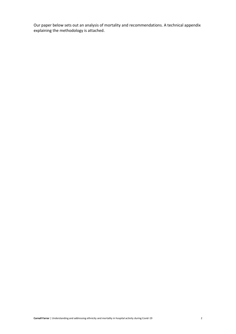Our paper below sets out an analysis of mortality and recommendations. A technical appendix explaining the methodology is attached.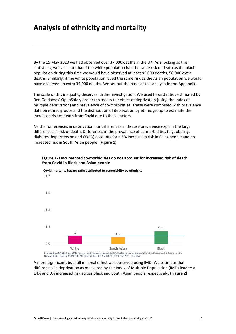### **Analysis of ethnicity and mortality**

By the 15 May 2020 we had observed over 37,000 deaths in the UK. As shocking as this statistic is, we calculate that if the white population had the same risk of death as the black population during this time we would have observed at least 95,000 deaths, 58,000 extra deaths. Similarly, if the white population faced the same risk as the Asian population we would have observed an extra 35,000 deaths. We set out the basis of this analysis in the Appendix.

The scale of this inequality deserves further investigation. We used hazard ratios estimated by Ben Goldacres' OpenSafely project to assess the effect of deprivation (using the Index of multiple deprivation) and prevalence of co-morbidities. These were combined with prevalence data on ethnic groups and the distribution of deprivation by ethnic group to estimate the increased risk of death from Covid due to these factors.

Neither differences in deprivation nor differences in disease prevalence explain the large differences in risk of death. Differences in the prevalence of co-morbidities (e.g. obesity, diabetes, hypertension and COPD) accounts for a 5% increase in risk in Black people and no increased risk in South Asian people. (**Figure 1)**



#### **Figure 1- Documented co-morbidities do not account for increased risk of death from Covid in Black and Asian people**

A more significant, but still minimal effect was observed using IMD. We estimate that differences in deprivation as measured by the Index of Multiple Deprivation (IMD) lead to a 14% and 9% increased risk across Black and South Asian people respectively. **(Figure 2)**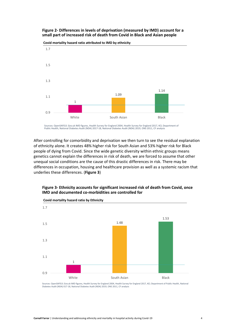#### **Figure 2- Differences in levels of deprivation (measured by IMD) account for <sup>a</sup> small part of increased risk of death from Covid in Black and Asian people**



**Covid mortality hazard ratio attributed to IMD by ethnicity**

Sources: OpenSAFELY, Gov.uk IMD figures, Health Survey for England 2004, Health Survey for England 2017, KCL Department of<br>Public Health, National Diabetes Audit (NDA) 2017-18, National Diabetes Audit (NDA) 2019, ONS 2011,

After controlling for comorbidity and deprivation we then turn to see the residual explanation of ethnicity alone. It creates 48% higher risk for South Asian and 53% higher risk for Black people of dying from Covid. Since the wide genetic diversity within ethnic groups means genetics cannot explain the differences in risk of death, we are forced to assume that other unequal social conditions are the cause of this drastic differences in risk. There may be differences in occupation, housing and healthcare provision as well as a systemic racism that underlies these differences. (**Figure 3**)



#### **Figure 3- Ethnicity accounts for significant increased risk of death from Covid, once IMD and documented co-morbidities are controlled for**

Sources: OpenSAFELY, Gov.uk IMD figures, Health Survey for England 2004, Health Survey for England 2017, KCL Department of Public Health, National Diabetes Audit (NDA) 017-18, National Diabetes Audit (NDA) 2019, ONS 2011, CF analysis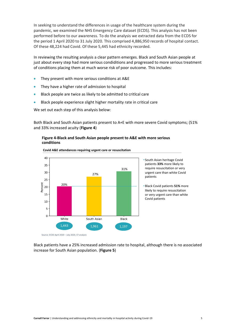In seeking to understand the differences in usage of the healthcare system during the pandemic, we examined the NHS Emergency Care dataset (ECDS). This analysis has not been performed before to our awareness. To do the analysis we extracted data from the ECDS for the period 1 April 2020 to 31 July 2020. This comprised 4,886,950 records of hospital contact. Of these 48,224 had Covid. Of these 5,445 had ethnicity recorded.

In reviewing the resulting analysis a clear pattern emerges. Black and South Asian people at just about every step had more serious condiditions and progressed to more serious treatment of conditions placing them at much worse risk of poor outcome. This includes:

- They present with more serious conditions at A&E
- They have a higher rate of admission to hospital
- Black people are twice as likely to be admitted to critlcal care
- Black people experience slight higher mortality rate in critical care

We set out each step of this analysis below:

Both Black and South Asian patients present to A+E with more severe Covid symptoms; (51% and 33% increased acuity (**Figure 4**)

#### **Figure 4-Black and South Asian people present to A&E with more serious conditions**



**Covid A&E attendances requiring urgent care or resuscitation**

Black patients have a 25% increased admission rate to hospital, although there is no associated increase for South Asian population. (**Figure 5**)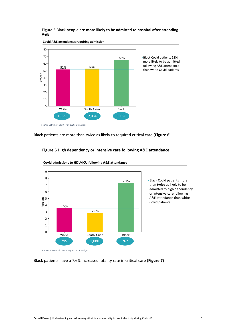#### **Figure 5 Black people are more likely to be admitted to hospital after attending A&E**



**Covid A&E attendances requiring admission**

Black patients are more than twice as likely to required critical care (**Figure 6**)

#### **Figure 6 High dependency or intensive care following A&E attendance**



**Covid admissions to HDU/ICU following A&E attendance**

Black patients have a 7.6% increased fatality rate in critical care (Figure 7)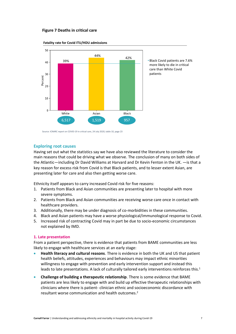#### **Figure 7 Deaths in critical care**



**Fatality rate for Covid ITU/HDU admissions**

Source: ICNARC report on COVID-19 in critical care, 24 July 2020, table 10, page 23

#### **Exploring root causes**

Having set out what the statistics say we have also reviewed the literature to consider the main reasons that could be driving what we observe. The conclusion of many on both sides of the Atlantic—including Dr David Williams at Harvard and Dr Kevin Fenton in the UK. —is that a key reason for excess risk from Covid is that Black patients, and to lesser extent Asian, are presenting later for care and also then getting worse care.

Ethnicity itself appears to carry increased Covid risk for five reasons:

- 1. Patients from Black and Asian communities are presenting later to hospital with more severe symptoms.
- 2. Patients from Black and Asian communities are receiving worse care once in contact with healthcare providers.
- 3. Additionally, there may be under diagnosis of co-morbidities in these communities.
- 4. Black and Asian patients may have a worse physiological/immunological response to Covid.
- 5. Increased risk of contracting Covid may in part be due to socio-economic circumstances not explained by IMD.

#### **1. Late presentation**

From a patient perspective, there is evidence that patients from BAME communities are less likely to engage with healthcare services at an early stage:

- **Health literacy and cultural reasons**. There is evidence in both the UK and US that patient health beliefs, attitudes, experiences and behaviours may impact ethnic minorities willingness to engage with prevention and early intervention support and instead this leads to late presentations. A lack of culturally tailored early interventions reinforces this.<sup>1</sup>
- **Challenge of building a therapeutic relationship**. There is some evidence that BAME patients are less likely to engage with and build up effective therapeutic relationships with clinicians where there is patient- clinician ethnic and socioeconomic discordance with resultant worse communication and health outcomes. 2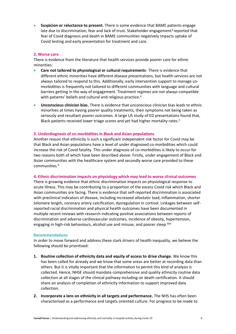• **Suspicion or reluctance to present.** There is some evidence that BAME patients engage late due to discrimination, fear and lack of trust. Stakeholder engagement<sup>3</sup> reported that fear of Covid diagnosis and death in BAME communities negatively impacts uptake of Covid testing and early presentation for treatment and care.

#### **2. Worse care**

There is evidence from the literature that health services provide poorer care for ethnic minorities:

- **Care not tailored to physiological or cultural requirements** There is evidence that different ethnic minorities have different disease presentations, but health services are not always tailored to respond to this. Additionally, early intervention support to manage comorbidities is frequently not tailored to different communities with language and cultural barriers getting in the way of engagement. Treatment regimes are not always compatible with patients' beliefs and cultural and religious practice.<sup>4</sup>
- **Unconscious clinician bias.** There is evidence that unconscious clinician bias leads to ethnic minorities at times having poorer quality treatments, their symptoms not being taken as seriously and resultant poorer outcomes. A large US study of ED presentations found that, Black patients received lower triage scores and yet had higher mortality rates. 5

#### **3. Underdiagnosis of co-morbidities in Black and Asian populations**

Another reason that ethnicity is such a significant independent risk factor for Covid may be that Black and Asian populations have a level of under diagnosed co-morbidities which could increase the risk of Covid fatality. This under diagnosis of co-morbidities is likely to occur for two reasons both of which have been described above: Firstly, under engagement of Black and Asian communities with the healthcare system and secondly worse care provided to these communities.<sup>6</sup>

#### **4. Ethnic discrimination impacts on physiology which may lead to worse clinical outcomes**

There is growing evidence that ethnic discrimination impacts on physiological response to acute illness. This may be contributing to a proportion of the excess Covid risk which Black and Asian communities are facing. There is evidence that self-reported discrimination is associated with preclinical indicators of disease, including increased allostatic load, inflammation, shorter telomere length, coronary artery calcification, dysregulation in cortisol. Linkages between selfreported racial discrimination and physical health outcomes have been documented in multiple recent reviews with research indicating positive associations between reports of discrimination and adverse cardiovascular outcomes, incidence of obesity, hypertension, engaging in high-risk behaviours, alcohol use and misuse, and poorer sleep.<sup>Ibid</sup>

#### **Recommendations**

In order to move forward and address these stark drivers of health inequality, we believe the following should be prioritised:

- **1. Routine collection of ethnicity data and equity of access to drive change.** We know this has been called for already and we know that some areas are better at recording data than others. But it is vitally important that the information to permit this kind of analysis is collected. Hence, NHSE should mandate comprehensive and quality ethnicity routine data collection at all stages of the clinical pathway including on death certification. It should share an analysis of completion of ethnicity information to support improved data collection.
- **2. Incorporate a lens on ethnicity in all targets and performance.** The NHS has often been characterised as a performance and targets oriented culture. For progress to be made to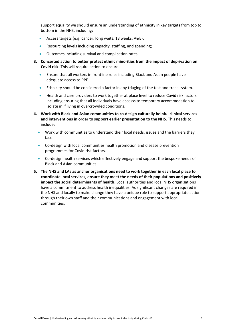support equality we should ensure an understanding of ethnicity in key targets from top to bottom in the NHS, including:

- Access targets (e.g, cancer, long waits, 18 weeks, A&E);
- Resourcing levels including capacity, staffing, and spending;
- Outcomes including survival and complication rates.
- **3. Concerted action to better protect ethnic minorities from the impact of deprivation on Covid risk.** This will require action to ensure
	- Ensure that all workers in frontline roles including Black and Asian people have adequate access to PPE.
	- Ethnicity should be considered a factor in any triaging of the test and trace system.
	- Health and care providers to work together at place level to reduce Covid risk factors including ensuring that all individuals have accesss to temporary accommodation to isolate in if living in overcrowded conditions.
- **4. Work with Black and Asian communities to co-design culturally helpful clinical services and interventions in order to support earlier presentation to the NHS.** This needs to include:
	- Work with communities to understand their local needs, issues and the barriers they face.
	- Co-design with local communities health promotion and disease prevention programmes for Covid risk factors.
	- Co-design health services which effectively engage and support the bespoke needs of Black and Asian communities.
- **5. The NHS and LAs as anchor organisations need to work together in each local place to coordinate local services, ensure they meet the needs of their populations and positively impact the social determinants of health.** Local authorities and local NHS organisations have a commitment to address health inequalities. As significant changes are required in the NHS and locally to make change they have a unique role to support appropriate action through their own staff and their communications and engagement with local communities.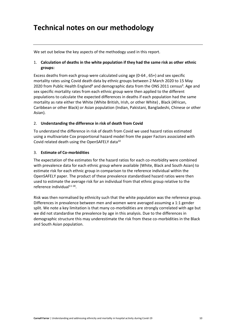## **Technical notes on our methodology**

We set out below the key aspects of the methodogy used in this report.

#### 1. **Calculation of deaths in the white population if they had the same risk as other ethnic groups:**

Excess deaths from each group were calculated using age (0-64 , 65+) and sex specific mortality rates using Covid death data by ethnic groups between 2 March 2020 to 15 May 2020 from Public Health England<sup>8</sup> and demographic data from the ONS 2011 census<sup>9</sup>. Age and sex specific mortality rates from each ethnic group were then applied to the different populations to calculate the expected differences in deaths if each population had the same mortality as rate either the White (White British, Irish, or other White) , Black (African, Caribbean or other Black) or Asian population (Indian, Pakistani, Bangladeshi, Chinese or other Asian).

#### 2. **Understanding the difference in risk of death from Covid**

To understand the difference in risk of death from Covid we used hazard ratios estimated using a multivariate Cox proportional hazard model from the paper Factors associated with Covid related death using the OpenSAFELY data<sup>10</sup>

#### 3. **Estimate of Co-morbidities**

The expectation of the estimates for the hazard ratios for each co-morbidity were combined with prevalence data for each ethnic group where available (White, Black and South Asian) to estimate risk for each ethnic group in comparison to the reference individual within the OpenSAFELY paper. The product of these prevalence standardised hazard ratios were then used to estimate the average risk for an individual from that ethnic group relative to the reference individual<sup>11-18</sup>.

Risk was then normalised by ethnicity such that the white population was the reference group. Differences in prevalence between men and women were averaged assuming a 1:1 gender split. We note a key limitation is that many co-morbidities are strongly correlated with age but we did not standardise the prevalence by age in this analysis. Due to the differences in demographic structure this may underestimate the risk from these co-morbidities in the Black and South Asian population.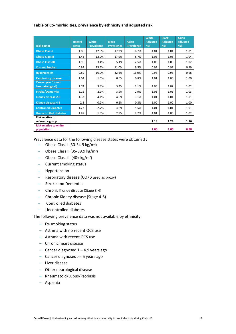#### **Table of Co-morbidities, prevalence by ethnicity and adjusted risk**

| <b>Risk Factor</b>                           | <b>Hazard</b><br><b>Ratio</b> | <b>White</b><br><b>Prevalence</b> | <b>Black</b>      | <b>Asian</b>      | <b>White</b><br><b>Adjusted</b> | <b>Black</b><br><b>Adjusted</b> | <b>Asian</b><br>adjusted |
|----------------------------------------------|-------------------------------|-----------------------------------|-------------------|-------------------|---------------------------------|---------------------------------|--------------------------|
|                                              |                               |                                   | <b>Prevalence</b> | <b>Prevalence</b> | risk                            | risk                            | risk                     |
| <b>Obese Class I</b>                         | 1.06                          | 12.0%                             | 17.9%             | 8.7%              | 1.01                            | 1.01                            | 1.01                     |
| <b>Obese Class II</b>                        | 1.42                          | 12.0%                             | 17.9%             | 8.7%              | 1.05                            | 1.08                            | 1.04                     |
| <b>Obese Class III</b>                       | 1.96                          | 3.4%                              | 5.1%              | 2.5%              | 1.03                            | 1.05                            | 1.02                     |
| <b>Current Smoker</b>                        | 0.93                          | 15.5%                             | 11.0%             | 9.5%              | 0.99                            | 0.99                            | 0.99                     |
| <b>Hypertension</b>                          | 0.89                          | 16.0%                             | 32.6%             | 16.0%             | 0.98                            | 0.96                            | 0.98                     |
| <b>Respiratory disease</b>                   | 1.64                          | 1.6%                              | 0.6%              | 0.8%              | 1.01                            | 1.00                            | 1.00                     |
| <b>Cancer year 1 (non</b><br>haematological) | 1.74                          | 3.8%                              | 3.4%              | 2.1%              | 1.03                            | 1.02                            | 1.02                     |
| <b>Stroke/Dementia</b>                       | 2.16                          | 2.9%                              | 3.9%              | 2.9%              | 1.03                            | 1.05                            | 1.03                     |
| <b>Kidney disease 2-3</b>                    | 1.33                          | 4.1%                              | 4.5%              | 3.1%              | 1.01                            | 1.01                            | 1.01                     |
| <b>Kidney disease 4-5</b>                    | 2.5                           | 0.2%                              | 0.2%              | 0.3%              | 1.00                            | 1.00                            | 1.00                     |
| <b>Controlled Diabetes</b>                   | 1.27                          | 2.7%                              | 4.6%              | 5.5%              | 1.01                            | 1.01                            | 1.01                     |
| <b>Un-controlled diabetes</b>                | 1.87                          | 1.3%                              | 2.9%              | 2.7%              | 1.01                            | 1.03                            | 1.02                     |
| <b>Risk relative to</b><br>reference group   |                               |                                   |                   |                   | 1.18                            | 1.24                            | 1.16                     |
| <b>Risk relative to white</b><br>population  |                               |                                   |                   |                   | 1.00                            | 1.05                            | 0.98                     |

Prevalence data for the following disease states were obtained :

- Obese Class I (30-34.9 kg/m<sup>2</sup>)
- Obese Class II (35-39.9 kg/m<sup>2</sup>)
- Obese Class III (40+ kg/m<sup>2</sup>)
- ‒ Current smoking status
- ‒ Hypertension
- Respiratory disease (COPD used as proxy)
- ‒ Stroke and Dementia
- ‒ Chronic Kidney disease (Stage 3-4)
- ‒ Chronic Kidney disease (Stage 4-5)
- ‒ Controlled diabetes
- ‒ Uncontrolled diabetes

The following prevalence data was not available by ethnicity:

- ‒ Ex-smoking status
- ‒ Asthma with no recent OCS use
- ‒ Asthma with recent OCS use
- ‒ Chronic heart disease
- $-$  Cancer diagnosed  $1 4.9$  years ago
- Cancer diagnosed > = 5 years ago
- ‒ Liver disease
- ‒ Other neurological disease
- ‒ Rheumatoid/Lupus/Psoriasis
- ‒ Asplenia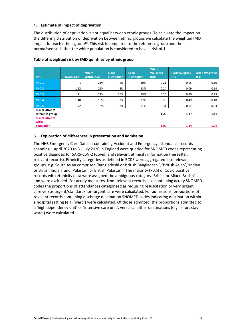#### 4. **Estimate of impact of deprivation**

The distribution of deprivation is not equal between ethnic groups. To calculate the impact on the differing distribution of deprivation between ethnic groups we calculate the weighted IMD impact for each ethnic group<sup>19</sup>. This risk is compared to the reference group and then normalised such that the white population is considered to have a risk of 1.

| <b>IMD</b>                                 | <b>Hazard Ratio</b> | <b>White</b><br>distribution | <b>Black</b><br>distribution | <b>Asian</b><br><b>Distribution</b> | White<br>Weighted<br><b>Risk</b> | <b>Black Weighted</b><br><b>Risk</b> | <b>Asian Weighted</b><br><b>Risk</b> |
|--------------------------------------------|---------------------|------------------------------|------------------------------|-------------------------------------|----------------------------------|--------------------------------------|--------------------------------------|
| IMD <sub>1</sub>                           |                     | 21%                          | 5%                           | 10%                                 | 0.21                             | 0.05                                 | 0.10                                 |
| IMD <sub>2</sub>                           | 1.12                | 21%                          | 8%                           | 13%                                 | 0.24                             | 0.09                                 | 0.14                                 |
| IMD <sub>3</sub>                           | 1.21                | 21%                          | 16%                          | 19%                                 | 0.25                             | 0.20                                 | 0.23                                 |
| IMD <sub>4</sub>                           | 1.48                | 19%                          | 33%                          | 27%                                 | 0.28                             | 0.49                                 | 0.40                                 |
| <b>IMD<sub>5</sub></b>                     | 1.72                | 18%                          | 37%                          | 31%                                 | 0.31                             | 0.64                                 | 0.53                                 |
| <b>Risk relative to</b><br>reference group |                     |                              |                              |                                     | 1.29                             | 1.47                                 | 1.41                                 |
| <b>Risk relative to</b><br>white           |                     |                              |                              |                                     |                                  |                                      |                                      |
| population                                 |                     |                              |                              |                                     | 1.00                             | 1.14                                 | 1.09                                 |

#### **Table of weighted risk by IMD quintiles by ethnic group**

#### 5. **Exploration of differences in presentation and admission**

The NHS Emergency Care Dataset containing Accident and Emergency attendance records spanning 1 April 2020 to 31 July 2020 in England were queried for SNOMED codes representing positive diagnosis for SARS-CoV-2 (Covid) and relevant ethnicity information (hereafter, relevant records). Ethnicity categories as defined in ECDS were aggregated into relevant groups, e.g. South Asian comprised 'Bangladeshi or British Bangladeshi', 'British Asian', 'Indian or British Indian' and 'Pakistani or British Pakistani'. The majority (70%) of Covid positive records with ethnicity data were assigned the ambiguous category 'British or Mixed British' and were excluded. For acuity measures, from relevant records also containing acuity SNOMED codes the proportions of attendances categorised as requiring resuscitation or very urgent care versus urgent/standard/non-urgent care were calculated. For admissions, proportions of relevant records containing discharge destination SNOMED codes indicating destination within a hospital setting (e.g. 'ward') were calculated. Of those admitted, the proportions admitted to a 'high dependency unit' or 'intensive care unit', versus all other destinations (e.g. 'short stay ward') were calculated.